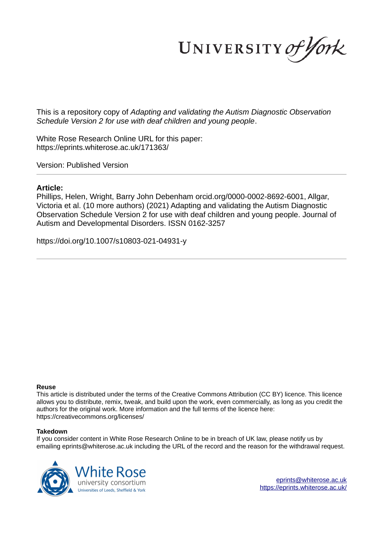UNIVERSITY of York

This is a repository copy of *Adapting and validating the Autism Diagnostic Observation Schedule Version 2 for use with deaf children and young people*.

White Rose Research Online URL for this paper: https://eprints.whiterose.ac.uk/171363/

Version: Published Version

# **Article:**

Phillips, Helen, Wright, Barry John Debenham orcid.org/0000-0002-8692-6001, Allgar, Victoria et al. (10 more authors) (2021) Adapting and validating the Autism Diagnostic Observation Schedule Version 2 for use with deaf children and young people. Journal of Autism and Developmental Disorders. ISSN 0162-3257

https://doi.org/10.1007/s10803-021-04931-y

# **Reuse**

This article is distributed under the terms of the Creative Commons Attribution (CC BY) licence. This licence allows you to distribute, remix, tweak, and build upon the work, even commercially, as long as you credit the authors for the original work. More information and the full terms of the licence here: https://creativecommons.org/licenses/

# **Takedown**

If you consider content in White Rose Research Online to be in breach of UK law, please notify us by emailing eprints@whiterose.ac.uk including the URL of the record and the reason for the withdrawal request.

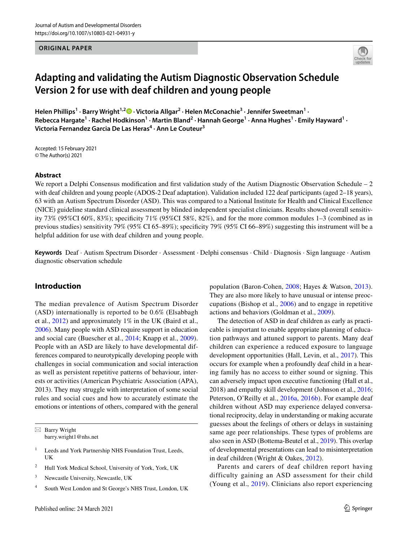**ORIGINAL PAPER**



# **Adapting and validating the Autism Diagnostic Observation Schedule Version 2 for use with deaf children and young people**

**Helen Phillips<sup>1</sup> · Barry Wright1,2  [·](http://orcid.org/0000-0002-8692-6001) Victoria Allgar<sup>2</sup> · Helen McConachie<sup>3</sup> · Jennifer Sweetman<sup>1</sup> ·**  Rebecca Hargate<sup>1</sup> • Rachel Hodkinson<sup>1</sup> • Martin Bland<sup>2</sup> • Hannah George<sup>1</sup> • Anna Hughes<sup>1</sup> • Emily Hayward<sup>1</sup> • **Victoria Fernandez Garcia De Las Heras<sup>4</sup> · Ann Le Couteur<sup>3</sup>**

Accepted: 15 February 2021 © The Author(s) 2021

## **Abstract**

We report a Delphi Consensus modification and first validation study of the Autism Diagnostic Observation Schedule – 2 with deaf children and young people (ADOS-2 Deaf adaptation). Validation included 122 deaf participants (aged 2–18 years), 63 with an Autism Spectrum Disorder (ASD). This was compared to a National Institute for Health and Clinical Excellence (NICE) guideline standard clinical assessment by blinded independent specialist clinicians. Results showed overall sensitivity 73% (95%CI 60%, 83%); specificity 71% (95%CI 58%, 82%), and for the more common modules 1–3 (combined as in previous studies) sensitivity 79% (95% CI 65–89%); specificity 79% (95% CI 66–89%) suggesting this instrument will be a helpful addition for use with deaf children and young people.

**Keywords** Deaf · Autism Spectrum Disorder · Assessment · Delphi consensus · Child · Diagnosis · Sign language · Autism diagnostic observation schedule

# **Introduction**

The median prevalence of Autism Spectrum Disorder (ASD) internationally is reported to be 0.6% (Elsabbagh et al., [2012](#page-14-0)) and approximately 1% in the UK (Baird et al., [2006](#page-14-1)). Many people with ASD require support in education and social care (Buescher et al., [2014;](#page-14-2) Knapp et al., [2009](#page-15-0)). People with an ASD are likely to have developmental differences compared to neurotypically developing people with challenges in social communication and social interaction as well as persistent repetitive patterns of behaviour, interests or activities (American Psychiatric Association (APA), 2013). They may struggle with interpretation of some social rules and social cues and how to accurately estimate the emotions or intentions of others, compared with the general

 $\boxtimes$  Barry Wright barry.wright1@nhs.net

- 1 Leeds and York Partnership NHS Foundation Trust, Leeds, UK
- 2 Hull York Medical School, University of York, York, UK
- 3 Newcastle University, Newcastle, UK
- 4 South West London and St George's NHS Trust, London, UK

population (Baron-Cohen, [2008](#page-14-3); Hayes & Watson, [2013](#page-15-1)). They are also more likely to have unusual or intense preoccupations (Bishop et al., [2006](#page-14-4)) and to engage in repetitive actions and behaviors (Goldman et al., [2009\)](#page-15-2).

The detection of ASD in deaf children as early as practicable is important to enable appropriate planning of education pathways and attuned support to parents. Many deaf children can experience a reduced exposure to language development opportunities (Hall, Levin, et al., [2017\)](#page-15-3). This occurs for example when a profoundly deaf child in a hearing family has no access to either sound or signing. This can adversely impact upon executive functioning (Hall et al., 2018) and empathy skill development (Johnson et al., [2016](#page-15-4); Peterson, O'Reilly et al., [2016a,](#page-15-5) [2016b\)](#page-15-6). For example deaf children without ASD may experience delayed conversational reciprocity, delay in understanding or making accurate guesses about the feelings of others or delays in sustaining same age peer relationships. These types of problems are also seen in ASD (Bottema-Beutel et al., [2019](#page-14-5)). This overlap of developmental presentations can lead to misinterpretation in deaf children (Wright & Oakes, [2012\)](#page-15-7).

Parents and carers of deaf children report having difficulty gaining an ASD assessment for their child (Young et al., [2019](#page-16-0)). Clinicians also report experiencing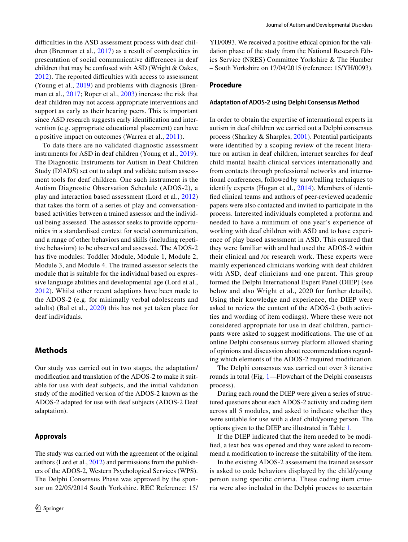difficulties in the ASD assessment process with deaf children (Brenman et al., [2017\)](#page-14-6) as a result of complexities in presentation of social communicative differences in deaf children that may be confused with ASD (Wright & Oakes, [2012\)](#page-15-7). The reported difficulties with access to assessment (Young et al., [2019](#page-16-0)) and problems with diagnosis (Brenman et al., [2017;](#page-14-6) Roper et al., [2003\)](#page-15-8) increase the risk that deaf children may not access appropriate interventions and support as early as their hearing peers. This is important since ASD research suggests early identification and intervention (e.g. appropriate educational placement) can have a positive impact on outcomes (Warren et al., [2011](#page-15-9)).

To date there are no validated diagnostic assessment instruments for ASD in deaf children (Young et al., [2019](#page-16-0)). The Diagnostic Instruments for Autism in Deaf Children Study (DIADS) set out to adapt and validate autism assessment tools for deaf children. One such instrument is the Autism Diagnostic Observation Schedule (ADOS-2), a play and interaction based assessment (Lord et al., [2012\)](#page-15-10) that takes the form of a series of play and conversationbased activities between a trained assessor and the individual being assessed. The assessor seeks to provide opportunities in a standardised context for social communication, and a range of other behaviors and skills (including repetitive behaviors) to be observed and assessed. The ADOS-2 has five modules: Toddler Module, Module 1, Module 2, Module 3, and Module 4. The trained assessor selects the module that is suitable for the individual based on expressive language abilities and developmental age (Lord et al., [2012](#page-15-10)). Whilst other recent adaptions have been made to the ADOS-2 (e.g. for minimally verbal adolescents and adults) (Bal et al., [2020\)](#page-14-7) this has not yet taken place for deaf individuals.

# **Methods**

Our study was carried out in two stages, the adaptation/ modification and translation of the ADOS-2 to make it suitable for use with deaf subjects, and the initial validation study of the modified version of the ADOS-2 known as the ADOS-2 adapted for use with deaf subjects (ADOS-2 Deaf adaptation).

## **Approvals**

The study was carried out with the agreement of the original authors (Lord et al., [2012\)](#page-15-10) and permissions from the publishers of the ADOS-2, Western Psychological Services (WPS). The Delphi Consensus Phase was approved by the sponsor on 22/05/2014 South Yorkshire. REC Reference: 15/

YH/0093. We received a positive ethical opinion for the validation phase of the study from the National Research Ethics Service (NRES) Committee Yorkshire & The Humber – South Yorkshire on 17/04/2015 (reference: 15/YH/0093).

# **Procedure**

#### **Adaptation of ADOS‑2 using Delphi Consensus Method**

In order to obtain the expertise of international experts in autism in deaf children we carried out a Delphi consensus process (Sharkey & Sharples, [2001](#page-15-11)). Potential participants were identified by a scoping review of the recent literature on autism in deaf children, internet searches for deaf child mental health clinical services internationally and from contacts through professional networks and international conferences, followed by snowballing techniques to identify experts (Hogan et al., [2014\)](#page-15-12). Members of identified clinical teams and authors of peer-reviewed academic papers were also contacted and invited to participate in the process. Interested individuals completed a proforma and needed to have a minimum of one year's experience of working with deaf children with ASD and to have experience of play based assessment in ASD. This ensured that they were familiar with and had used the ADOS-2 within their clinical and /or research work. These experts were mainly experienced clinicians working with deaf children with ASD, deaf clinicians and one parent. This group formed the Delphi International Expert Panel (DIEP) (see below and also Wright et al., 2020 for further details). Using their knowledge and experience, the DIEP were asked to review the content of the ADOS-2 (both activities and wording of item codings). Where these were not considered appropriate for use in deaf children, participants were asked to suggest modifications. The use of an online Delphi consensus survey platform allowed sharing of opinions and discussion about recommendations regarding which elements of the ADOS-2 required modification.

The Delphi consensus was carried out over 3 iterative rounds in total (Fig. [1—](#page-3-0)Flowchart of the Delphi consensus process).

During each round the DIEP were given a series of structured questions about each ADOS-2 activity and coding item across all 5 modules, and asked to indicate whether they were suitable for use with a deaf child/young person. The options given to the DIEP are illustrated in Table [1](#page-3-1).

If the DIEP indicated that the item needed to be modified, a text box was opened and they were asked to recommend a modification to increase the suitability of the item.

In the existing ADOS-2 assessment the trained assessor is asked to code behaviors displayed by the child/young person using specific criteria. These coding item criteria were also included in the Delphi process to ascertain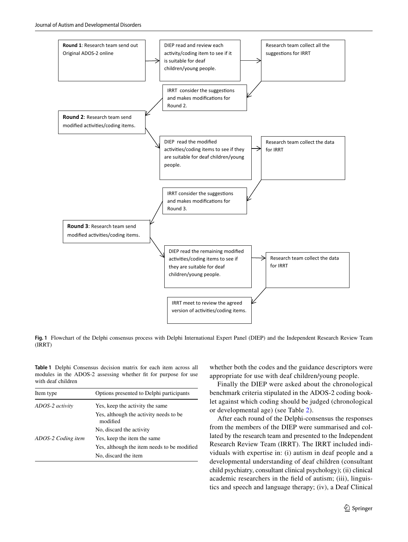

<span id="page-3-0"></span>**Fig. 1** Flowchart of the Delphi consensus process with Delphi International Expert Panel (DIEP) and the Independent Research Review Team (IRRT)

<span id="page-3-1"></span>**Table 1** Delphi Consensus decision matrix for each item across all modules in the ADOS-2 assessing whether fit for purpose for use with deaf children

| Item type          | Options presented to Delphi participants            |
|--------------------|-----------------------------------------------------|
| ADOS-2 activity    | Yes, keep the activity the same                     |
|                    | Yes, although the activity needs to be.<br>modified |
|                    | No, discard the activity                            |
| ADOS-2 Coding item | Yes, keep the item the same                         |
|                    | Yes, although the item needs to be modified         |
|                    | No, discard the item                                |

whether both the codes and the guidance descriptors were appropriate for use with deaf children/young people.

Finally the DIEP were asked about the chronological benchmark criteria stipulated in the ADOS-2 coding booklet against which coding should be judged (chronological or developmental age) (see Table [2\)](#page-4-0).

After each round of the Delphi-consensus the responses from the members of the DIEP were summarised and collated by the research team and presented to the Independent Research Review Team (IRRT). The IRRT included individuals with expertise in: (i) autism in deaf people and a developmental understanding of deaf children (consultant child psychiatry, consultant clinical psychology); (ii) clinical academic researchers in the field of autism; (iii), linguistics and speech and language therapy; (iv), a Deaf Clinical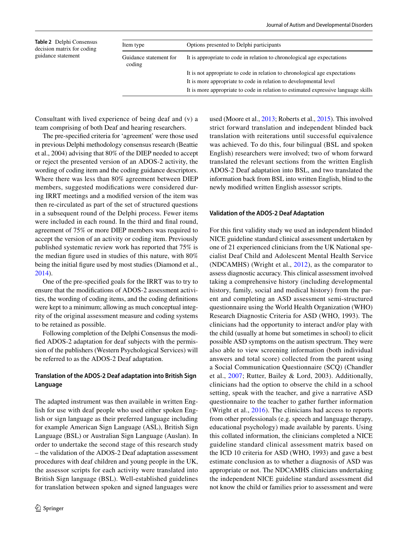<span id="page-4-0"></span>

| Table 2 Delphi Consensus                         | Item type                        | Options presented to Delphi participants                                           |
|--------------------------------------------------|----------------------------------|------------------------------------------------------------------------------------|
| decision matrix for coding<br>guidance statement | Guidance statement for<br>coding | It is appropriate to code in relation to chronological age expectations            |
|                                                  |                                  | It is not appropriate to code in relation to chronological age expectations        |
|                                                  |                                  | It is more appropriate to code in relation to developmental level                  |
|                                                  |                                  | It is more appropriate to code in relation to estimated expressive language skills |
|                                                  |                                  |                                                                                    |

Consultant with lived experience of being deaf and (v) a team comprising of both Deaf and hearing researchers.

The pre-specified criteria for 'agreement' were those used in previous Delphi methodology consensus research (Beattie et al., 2004) advising that 80% of the DIEP needed to accept or reject the presented version of an ADOS-2 activity, the wording of coding item and the coding guidance descriptors. Where there was less than 80% agreement between DIEP members, suggested modifications were considered during IRRT meetings and a modified version of the item was then re-circulated as part of the set of structured questions in a subsequent round of the Delphi process. Fewer items were included in each round. In the third and final round, agreement of 75% or more DIEP members was required to accept the version of an activity or coding item. Previously published systematic review work has reported that 75% is the median figure used in studies of this nature, with 80% being the initial figure used by most studies (Diamond et al., [2014](#page-14-8)).

One of the pre-specified goals for the IRRT was to try to ensure that the modifications of ADOS-2 assessment activities, the wording of coding items, and the coding definitions were kept to a minimum; allowing as much conceptual integrity of the original assessment measure and coding systems to be retained as possible.

Following completion of the Delphi Consensus the modified ADOS-2 adaptation for deaf subjects with the permission of the publishers (Western Psychological Services) will be referred to as the ADOS-2 Deaf adaptation.

# **Translation of the ADOS‑2 Deaf adaptation into British Sign Language**

The adapted instrument was then available in written English for use with deaf people who used either spoken English or sign language as their preferred language including for example American Sign Language (ASL), British Sign Language (BSL) or Australian Sign Language (Auslan). In order to undertake the second stage of this research study – the validation of the ADOS-2 Deaf adaptation assessment procedures with deaf children and young people in the UK, the assessor scripts for each activity were translated into British Sign language (BSL). Well-established guidelines for translation between spoken and signed languages were used (Moore et al., [2013;](#page-15-13) Roberts et al., [2015\)](#page-15-14). This involved strict forward translation and independent blinded back translation with reiterations until successful equivalence was achieved. To do this, four bilingual (BSL and spoken English) researchers were involved; two of whom forward translated the relevant sections from the written English ADOS-2 Deaf adaptation into BSL, and two translated the information back from BSL into written English, blind to the newly modified written English assessor scripts.

#### **Validation of the ADOS‑2 Deaf Adaptation**

For this first validity study we used an independent blinded NICE guideline standard clinical assessment undertaken by one of 21 experienced clinicians from the UK National specialist Deaf Child and Adolescent Mental Health Service (NDCAMHS) (Wright et al., [2012\)](#page-15-15), as the comparator to assess diagnostic accuracy. This clinical assessment involved taking a comprehensive history (including developmental history, family, social and medical history) from the parent and completing an ASD assessment semi-structured questionnaire using the World Health Organization (WHO) Research Diagnostic Criteria for ASD (WHO, 1993). The clinicians had the opportunity to interact and/or play with the child (usually at home but sometimes in school) to elicit possible ASD symptoms on the autism spectrum. They were also able to view screening information (both individual answers and total score) collected from the parent using a Social Communication Questionnaire (SCQ) (Chandler et al., [2007;](#page-14-9) Rutter, Bailey & Lord, 2003). Additionally, clinicians had the option to observe the child in a school setting, speak with the teacher, and give a narrative ASD questionnaire to the teacher to gather further information (Wright et al., [2016\)](#page-15-16). The clinicians had access to reports from other professionals (e.g. speech and language therapy, educational psychology) made available by parents. Using this collated information, the clinicians completed a NICE guideline standard clinical assessment matrix based on the ICD 10 criteria for ASD (WHO, 1993) and gave a best estimate conclusion as to whether a diagnosis of ASD was appropriate or not. The NDCAMHS clinicians undertaking the independent NICE guideline standard assessment did not know the child or families prior to assessment and were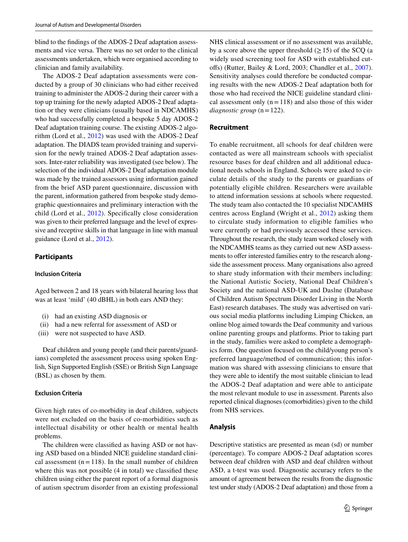blind to the findings of the ADOS-2 Deaf adaptation assessments and vice versa. There was no set order to the clinical assessments undertaken, which were organised according to clinician and family availability.

The ADOS-2 Deaf adaptation assessments were conducted by a group of 30 clinicians who had either received training to administer the ADOS-2 during their career with a top up training for the newly adapted ADOS-2 Deaf adaptation or they were clinicians (usually based in NDCAMHS) who had successfully completed a bespoke 5 day ADOS-2 Deaf adaptation training course. The existing ADOS-2 algorithm (Lord et al., [2012\)](#page-15-10) was used with the ADOS-2 Deaf adaptation. The DIADS team provided training and supervision for the newly trained ADOS-2 Deaf adaptation assessors. Inter-rater reliability was investigated (see below). The selection of the individual ADOS-2 Deaf adaptation module was made by the trained assessors using information gained from the brief ASD parent questionnaire, discussion with the parent, information gathered from bespoke study demographic questionnaires and preliminary interaction with the child (Lord et al., [2012](#page-15-10)). Specifically close consideration was given to their preferred language and the level of expressive and receptive skills in that language in line with manual guidance (Lord et al., [2012](#page-15-10)).

# **Participants**

#### **Inclusion Criteria**

Aged between 2 and 18 years with bilateral hearing loss that was at least 'mild' (40 dBHL) in both ears AND they:

- (i) had an existing ASD diagnosis or
- (ii) had a new referral for assessment of ASD or
- (iii) were not suspected to have ASD.

Deaf children and young people (and their parents/guardians) completed the assessment process using spoken English, Sign Supported English (SSE) or British Sign Language (BSL) as chosen by them.

#### **Exclusion Criteria**

Given high rates of co-morbidity in deaf children, subjects were not excluded on the basis of co-morbidities such as intellectual disability or other health or mental health problems.

The children were classified as having ASD or not having ASD based on a blinded NICE guideline standard clinical assessment  $(n = 118)$ . In the small number of children where this was not possible (4 in total) we classified these children using either the parent report of a formal diagnosis of autism spectrum disorder from an existing professional NHS clinical assessment or if no assessment was available, by a score above the upper threshold  $(\geq 15)$  of the SCQ (a widely used screening tool for ASD with established cutoffs) (Rutter, Bailey & Lord, 2003; Chandler et al., [2007](#page-14-9)). Sensitivity analyses could therefore be conducted comparing results with the new ADOS-2 Deaf adaptation both for those who had received the NICE guideline standard clinical assessment only  $(n = 118)$  and also those of this wider  $diagnostic \ group (n=122).$ 

## **Recruitment**

To enable recruitment, all schools for deaf children were contacted as were all mainstream schools with specialist resource bases for deaf children and all additional educational needs schools in England. Schools were asked to circulate details of the study to the parents or guardians of potentially eligible children. Researchers were available to attend information sessions at schools where requested. The study team also contacted the 10 specialist NDCAMHS centres across England (Wright et al., [2012](#page-15-15)) asking them to circulate study information to eligible families who were currently or had previously accessed these services. Throughout the research, the study team worked closely with the NDCAMHS teams as they carried out new ASD assessments to offer interested families entry to the research alongside the assessment process. Many organisations also agreed to share study information with their members including: the National Autistic Society, National Deaf Children's Society and the national ASD-UK and Daslne (Database of Children Autism Spectrum Disorder Living in the North East) research databases. The study was advertised on various social media platforms including Limping Chicken, an online blog aimed towards the Deaf community and various online parenting groups and platforms. Prior to taking part in the study, families were asked to complete a demographics form. One question focused on the child/young person's preferred language/method of communication; this information was shared with assessing clinicians to ensure that they were able to identify the most suitable clinician to lead the ADOS-2 Deaf adaptation and were able to anticipate the most relevant module to use in assessment. Parents also reported clinical diagnoses (comorbidities) given to the child from NHS services.

# **Analysis**

Descriptive statistics are presented as mean (sd) or number (percentage). To compare ADOS-2 Deaf adaptation scores between deaf children with ASD and deaf children without ASD, a t-test was used. Diagnostic accuracy refers to the amount of agreement between the results from the diagnostic test under study (ADOS-2 Deaf adaptation) and those from a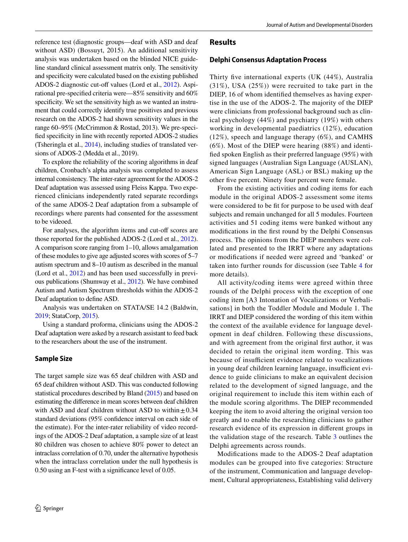reference test (diagnostic groups—deaf with ASD and deaf without ASD) (Bossuyt, 2015). An additional sensitivity analysis was undertaken based on the blinded NICE guideline standard clinical assessment matrix only. The sensitivity and specificity were calculated based on the existing published ADOS-2 diagnostic cut-off values (Lord et al., [2012\)](#page-15-10). Aspirational pre-specified criteria were—85% sensitivity and 60% specificity. We set the sensitivity high as we wanted an instrument that could correctly identify true positives and previous research on the ADOS-2 had shown sensitivity values in the range 60–95% (McCrimmon & Rostad, 2013). We pre-specified specificity in line with recently reported ADOS-2 studies (Tsheringla et al., [2014](#page-15-17)), including studies of translated versions of ADOS-2 (Medda et al., 2019).

To explore the reliability of the scoring algorithms in deaf children, Cronbach's alpha analysis was completed to assess internal consistency. The inter-rater agreement for the ADOS-2 Deaf adaptation was assessed using Fleiss Kappa. Two experienced clinicians independently rated separate recordings of the same ADOS-2 Deaf adaptation from a subsample of recordings where parents had consented for the assessment to be videoed.

For analyses, the algorithm items and cut-off scores are those reported for the published ADOS-2 (Lord et al., [2012](#page-15-10)). A comparison score ranging from 1–10, allows amalgamation of these modules to give age adjusted scores with scores of 5–7 autism spectrum and 8–10 autism as described in the manual (Lord et al., [2012](#page-15-10)) and has been used successfully in previous publications (Shumway et al., [2012\)](#page-15-18). We have combined Autism and Autism Spectrum thresholds within the ADOS-2 Deaf adaptation to define ASD.

Analysis was undertaken on STATA/SE 14.2 (Baldwin, [2019;](#page-14-10) StataCorp, [2015\)](#page-15-19).

Using a standard proforma, clinicians using the ADOS-2 Deaf adaptation were asked by a research assistant to feed back to the researchers about the use of the instrument.

# **Sample Size**

The target sample size was 65 deaf children with ASD and 65 deaf children without ASD. This was conducted following statistical procedures described by Bland [\(2015](#page-14-11)) and based on estimating the difference in mean scores between deaf children with ASD and deaf children without ASD to within  $\pm 0.34$ standard deviations (95% confidence interval on each side of the estimate). For the inter-rater reliability of video recordings of the ADOS-2 Deaf adaptation, a sample size of at least 80 children was chosen to achieve 80% power to detect an intraclass correlation of 0.70, under the alternative hypothesis when the intraclass correlation under the null hypothesis is 0.50 using an F-test with a significance level of 0.05.

# **Results**

## **Delphi Consensus Adaptation Process**

Thirty five international experts (UK (44%), Australia (31%), USA (25%)) were recruited to take part in the DIEP, 16 of whom identified themselves as having expertise in the use of the ADOS-2. The majority of the DIEP were clinicians from professional background such as clinical psychology (44%) and psychiatry (19%) with others working in developmental paediatrics (12%), education (12%), speech and language therapy (6%), and CAMHS (6%). Most of the DIEP were hearing (88%) and identified spoken English as their preferred language (95%) with signed languages (Australian Sign Language (AUSLAN), American Sign Language (ASL) or BSL) making up the other five percent. Ninety four percent were female.

From the existing activities and coding items for each module in the original ADOS-2 assessment some items were considered to be fit for purpose to be used with deaf subjects and remain unchanged for all 5 modules. Fourteen activities and 51 coding items were banked without any modifications in the first round by the Delphi Consensus process. The opinions from the DIEP members were collated and presented to the IRRT where any adaptations or modifications if needed were agreed and 'banked' or taken into further rounds for discussion (see Table [4](#page-10-0) for more details).

All activity/coding items were agreed within three rounds of the Delphi process with the exception of one coding item [A3 Intonation of Vocalizations or Verbalisations] in both the Toddler Module and Module 1. The IRRT and DIEP considered the wording of this item within the context of the available evidence for language development in deaf children. Following these discussions, and with agreement from the original first author, it was decided to retain the original item wording. This was because of insufficient evidence related to vocalizations in young deaf children learning language, insufficient evidence to guide clinicians to make an equivalent decision related to the development of signed language, and the original requirement to include this item within each of the module scoring algorithms. The DIEP recommended keeping the item to avoid altering the original version too greatly and to enable the researching clinicians to gather research evidence of its expression in different groups in the validation stage of the research. Table [3](#page-7-0) outlines the Delphi agreements across rounds.

Modifications made to the ADOS-2 Deaf adaptation modules can be grouped into five categories: Structure of the instrument, Communication and language development, Cultural appropriateness, Establishing valid delivery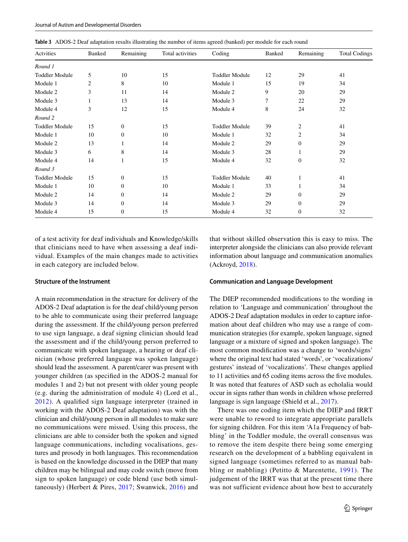<span id="page-7-0"></span>

|  | Table 3 ADOS-2 Deaf adaptation results illustrating the number of items agreed (banked) per module for each round |  |  |  |  |
|--|-------------------------------------------------------------------------------------------------------------------|--|--|--|--|
|--|-------------------------------------------------------------------------------------------------------------------|--|--|--|--|

| Actvities             | Banked | Remaining        | Total activities | Coding                | Banked | Remaining        | <b>Total Codings</b> |
|-----------------------|--------|------------------|------------------|-----------------------|--------|------------------|----------------------|
| Round 1               |        |                  |                  |                       |        |                  |                      |
| <b>Toddler Module</b> | 5      | 10               | 15               | <b>Toddler Module</b> | 12     | 29               | 41                   |
| Module 1              | 2      | 8                | 10               | Module 1              | 15     | 19               | 34                   |
| Module 2              | 3      | 11               | 14               | Module 2              | 9      | 20               | 29                   |
| Module 3              | 1      | 13               | 14               | Module 3              | 7      | 22               | 29                   |
| Module 4              | 3      | 12               | 15               | Module 4              | 8      | 24               | 32                   |
| Round 2               |        |                  |                  |                       |        |                  |                      |
| <b>Toddler Module</b> | 15     | $\mathbf{0}$     | 15               | <b>Toddler Module</b> | 39     | $\overline{2}$   | 41                   |
| Module 1              | 10     | $\overline{0}$   | 10               | Module 1              | 32     | 2                | 34                   |
| Module 2              | 13     |                  | 14               | Module 2              | 29     | $\mathbf{0}$     | 29                   |
| Module 3              | 6      | 8                | 14               | Module 3              | 28     |                  | 29                   |
| Module 4              | 14     | $\mathbf{1}$     | 15               | Module 4              | 32     | $\boldsymbol{0}$ | 32                   |
| Round 3               |        |                  |                  |                       |        |                  |                      |
| <b>Toddler Module</b> | 15     | $\mathbf{0}$     | 15               | <b>Toddler Module</b> | 40     |                  | 41                   |
| Module 1              | 10     | $\mathbf{0}$     | 10               | Module 1              | 33     |                  | 34                   |
| Module 2              | 14     | $\mathbf{0}$     | 14               | Module 2              | 29     | $\mathbf{0}$     | 29                   |
| Module 3              | 14     | $\overline{0}$   | 14               | Module 3              | 29     | $\mathbf{0}$     | 29                   |
| Module 4              | 15     | $\boldsymbol{0}$ | 15               | Module 4              | 32     | $\boldsymbol{0}$ | 32                   |

of a test activity for deaf individuals and Knowledge/skills that clinicians need to have when assessing a deaf individual. Examples of the main changes made to activities in each category are included below.

#### **Structure of the Instrument**

A main recommendation in the structure for delivery of the ADOS-2 Deaf adaptation is for the deaf child/young person to be able to communicate using their preferred language during the assessment. If the child/young person preferred to use sign language, a deaf signing clinician should lead the assessment and if the child/young person preferred to communicate with spoken language, a hearing or deaf clinician (whose preferred language was spoken language) should lead the assessment. A parent/carer was present with younger children (as specified in the ADOS-2 manual for modules 1 and 2) but not present with older young people (e.g. during the administration of module 4) (Lord et al., [2012](#page-15-10)). A qualified sign language interpreter (trained in working with the ADOS-2 Deaf adaptation) was with the clinician and child/young person in all modules to make sure no communications were missed. Using this process, the clinicians are able to consider both the spoken and signed language communications, including vocalisations, gestures and prosody in both languages. This recommendation is based on the knowledge discussed in the DIEP that many children may be bilingual and may code switch (move from sign to spoken language) or code blend (use both simultaneously) (Herbert & Pires, [2017](#page-15-20); Swanwick, [2016\)](#page-15-21) and that without skilled observation this is easy to miss. The interpreter alongside the clinicians can also provide relevant information about language and communication anomalies (Ackroyd, [2018](#page-14-12)).

#### **Communication and Language Development**

The DIEP recommended modifications to the wording in relation to 'Language and communication' throughout the ADOS-2 Deaf adaptation modules in order to capture information about deaf children who may use a range of communication strategies (for example, spoken language, signed language or a mixture of signed and spoken language). The most common modification was a change to 'words/signs' where the original text had stated 'words', or 'vocalizations/ gestures' instead of 'vocalizations'. These changes applied to 11 activities and 65 coding items across the five modules. It was noted that features of ASD such as echolalia would occur in signs rather than words in children whose preferred language is sign language (Shield et al., [2017\)](#page-15-22).

There was one coding item which the DIEP and IRRT were unable to reword to integrate appropriate parallels for signing children. For this item 'A1a Frequency of babbling' in the Toddler module, the overall consensus was to remove the item despite there being some emerging research on the development of a babbling equivalent in signed language (sometimes referred to as manual babbling or mabbling) (Petitto & Marentette, [1991\)](#page-15-23). The judgement of the IRRT was that at the present time there was not sufficient evidence about how best to accurately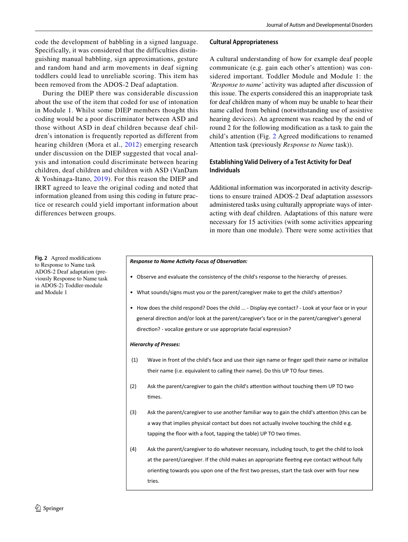code the development of babbling in a signed language. Specifically, it was considered that the difficulties distinguishing manual babbling, sign approximations, gesture and random hand and arm movements in deaf signing toddlers could lead to unreliable scoring. This item has been removed from the ADOS-2 Deaf adaptation.

During the DIEP there was considerable discussion about the use of the item that coded for use of intonation in Module 1. Whilst some DIEP members thought this coding would be a poor discriminator between ASD and those without ASD in deaf children because deaf children's intonation is frequently reported as different from hearing children (Mora et al., [2012\)](#page-15-24) emerging research under discussion on the DIEP suggested that vocal analysis and intonation could discriminate between hearing children, deaf children and children with ASD (VanDam & Yoshinaga-Itano, [2019\)](#page-16-1). For this reason the DIEP and IRRT agreed to leave the original coding and noted that information gleaned from using this coding in future practice or research could yield important information about differences between groups.

## **Cultural Appropriateness**

A cultural understanding of how for example deaf people communicate (e.g. gain each other's attention) was considered important. Toddler Module and Module 1: the *'Response to name'* activity was adapted after discussion of this issue. The experts considered this an inappropriate task for deaf children many of whom may be unable to hear their name called from behind (notwithstanding use of assistive hearing devices). An agreement was reached by the end of round 2 for the following modification as a task to gain the child's attention (Fig. [2](#page-8-0) Agreed modifications to renamed Attention task (previously *Response to Name* task)).

# **Establishing Valid Delivery of a Test Activity for Deaf Individuals**

Additional information was incorporated in activity descriptions to ensure trained ADOS-2 Deaf adaptation assessors administered tasks using culturally appropriate ways of interacting with deaf children. Adaptations of this nature were necessary for 15 activities (with some activities appearing in more than one module). There were some activities that

<span id="page-8-0"></span>**Fig. 2** Agreed modifications to Response to Name task ADOS-2 Deaf adaptation (previously Response to Name task in ADOS-2) Toddler-module and Module 1

#### **Response to Name Activity Focus of Observation:**

- Observe and evaluate the consistency of the child's response to the hierarchy of presses.
- What sounds/signs must you or the parent/caregiver make to get the child's attention?
- How does the child respond? Does the child ... Display eye contact? Look at your face or in your general direction and/or look at the parent/caregiver's face or in the parent/caregiver's general direction? - vocalize gesture or use appropriate facial expression?

#### *Hierarchy of Presses:*

- (1) Wave in front of the child's face and use their sign name or finger spell their name or initialize their name (i.e. equivalent to calling their name). Do this UP TO four times.
- (2) Ask the parent/caregiver to gain the child's attention without touching them UP TO two times.
- (3) Ask the parent/caregiver to use another familiar way to gain the child's attention (this can be a way that implies physical contact but does not actually involve touching the child e.g. tapping the floor with a foot, tapping the table) UP TO two times.
- (4) Ask the parent/caregiver to do whatever necessary, including touch, to get the child to look at the parent/caregiver. If the child makes an appropriate fleeting eye contact without fully orienting towards you upon one of the first two presses, start the task over with four new tries.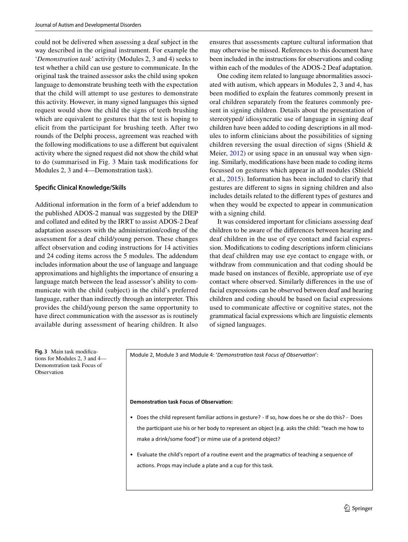could not be delivered when assessing a deaf subject in the way described in the original instrument. For example the '*Demonstration task'* activity (Modules 2, 3 and 4) seeks to test whether a child can use gesture to communicate. In the original task the trained assessor asks the child using spoken language to demonstrate brushing teeth with the expectation that the child will attempt to use gestures to demonstrate this activity. However, in many signed languages this signed request would show the child the signs of teeth brushing which are equivalent to gestures that the test is hoping to elicit from the participant for brushing teeth. After two rounds of the Delphi process, agreement was reached with the following modifications to use a different but equivalent activity where the signed request did not show the child what to do (summarised in Fig. [3](#page-9-0) Main task modifications for Modules 2, 3 and 4—Demonstration task).

#### **Specific Clinical Knowledge/Skills**

Additional information in the form of a brief addendum to the published ADOS-2 manual was suggested by the DIEP and collated and edited by the IRRT to assist ADOS-2 Deaf adaptation assessors with the administration/coding of the assessment for a deaf child/young person. These changes affect observation and coding instructions for 14 activities and 24 coding items across the 5 modules. The addendum includes information about the use of language and language approximations and highlights the importance of ensuring a language match between the lead assessor's ability to communicate with the child (subject) in the child's preferred language, rather than indirectly through an interpreter. This provides the child/young person the same opportunity to have direct communication with the assessor as is routinely available during assessment of hearing children. It also

ensures that assessments capture cultural information that may otherwise be missed. References to this document have been included in the instructions for observations and coding within each of the modules of the ADOS-2 Deaf adaptation.

One coding item related to language abnormalities associated with autism, which appears in Modules 2, 3 and 4, has been modified to explain the features commonly present in oral children separately from the features commonly present in signing children. Details about the presentation of stereotyped/ idiosyncratic use of language in signing deaf children have been added to coding descriptions in all modules to inform clinicians about the possibilities of signing children reversing the usual direction of signs (Shield & Meier,  $2012$ ) or using space in an unusual way when signing. Similarly, modifications have been made to coding items focussed on gestures which appear in all modules (Shield et al., [2015\)](#page-15-26). Information has been included to clarify that gestures are different to signs in signing children and also includes details related to the different types of gestures and when they would be expected to appear in communication with a signing child.

It was considered important for clinicians assessing deaf children to be aware of the differences between hearing and deaf children in the use of eye contact and facial expression. Modifications to coding descriptions inform clinicians that deaf children may use eye contact to engage with, or withdraw from communication and that coding should be made based on instances of flexible, appropriate use of eye contact where observed. Similarly differences in the use of facial expressions can be observed between deaf and hearing children and coding should be based on facial expressions used to communicate affective or cognitive states, not the grammatical facial expressions which are linguistic elements of signed languages.

<span id="page-9-0"></span>**Fig. 3** Main task modifications for Modules 2, 3 and 4— Demonstration task Focus of Observation

Module 2, Module 3 and Module 4: 'Demonstration task Focus of Observation':

#### **Demonstration task Focus of Observation:**

- Does the child represent familiar actions in gesture? If so, how does he or she do this? Does the participant use his or her body to represent an object (e.g. asks the child: "teach me how to make a drink/some food") or mime use of a pretend object?
- Evaluate the child's report of a routine event and the pragmatics of teaching a sequence of actions. Props may include a plate and a cup for this task.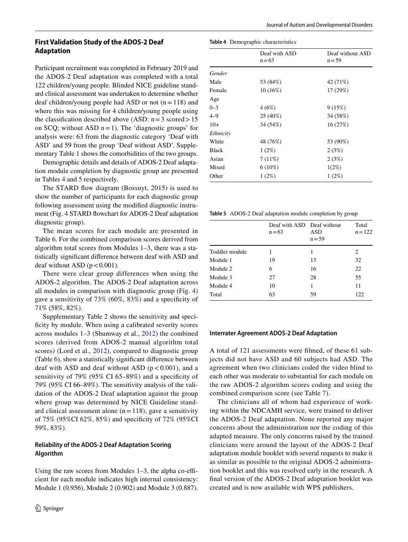# **First Validation Study of the ADOS‑2 Deaf Adaptation**

Participant recruitment was completed in February 2019 and the ADOS-2 Deaf adaptation was completed with a total 122 children/young people. Blinded NICE guideline standard clinical assessment was undertaken to determine whether deaf children/young people had ASD or not  $(n = 118)$  and where this was missing for 4 children/young people using the classification described above (ASD:  $n = 3$  scored > 15 on SCQ; without ASD  $n = 1$ ). The 'diagnostic groups' for analysis were: 63 from the diagnostic category 'Deaf with ASD' and 59 from the group 'Deaf without ASD'. Supplementary Table 1 shows the comorbidities of the two groups.

Demographic details and details of ADOS-2 Deaf adaptation module completion by diagnostic group are presented in Tables [4](#page-10-0) and [5](#page-10-1) respectively.

The STARD flow diagram (Bossuyt, 2015) is used to show the number of participants for each diagnostic group following assessment using the modified diagnostic instrument (Fig. [4](#page-11-0) STARD flowchart for ADOS-2 Deaf adaptation diagnostic group).

The mean scores for each module are presented in Table [6](#page-11-1). For the combined comparison scores derived from algorithm total scores from Modules 1–3, there was a statistically significant difference between deaf with ASD and deaf without ASD ( $p < 0.001$ ).

There were clear group differences when using the ADOS-2 algorithm. The ADOS-2 Deaf adaptation across all modules in comparison with diagnostic group (Fig. [4\)](#page-11-0) gave a sensitivity of 73% (60%, 83%) and a specificity of 71% (58%, 82%).

Supplementary Table 2 shows the sensitivity and specificity by module. When using a calibrated severity scores across modules 1–3 (Shumway et al., [2012](#page-15-18)) the combined scores (derived from ADOS-2 manual algorithm total scores) (Lord et al., [2012](#page-15-10)), compared to diagnostic group (Table [6](#page-11-1)), show a statistically significant difference between deaf with ASD and deaf without ASD  $(p < 0.001)$ , and a sensitivity of 79% (95% CI 65–89%) and a specificity of 79% (95% CI 66–89%). The sensitivity analysis of the validation of the ADOS-2 Deaf adaptation against the group where group was determined by NICE Guideline standard clinical assessment alone  $(n = 118)$ , gave a sensitivity of 75% (95%CI 62%, 85%) and specificity of 72% (95%CI 59%, 83%).

# **Reliability of the ADOS‑2 Deaf Adaptation Scoring Algorithm**

Using the raw scores from Modules 1–3, the alpha co-efficient for each module indicates high internal consistency: Module 1 (0.956), Module 2 (0.902) and Module 3 (0.887). <span id="page-10-0"></span>**Table 4** Demographic characteristics

|           | Deaf with ASD<br>$n = 63$ | Deaf without ASD<br>$n = 59$ |
|-----------|---------------------------|------------------------------|
| Gender    |                           |                              |
| Male      | 53 (84%)                  | 42 (71%)                     |
| Female    | $10(16\%)$                | 17 (29%)                     |
| Age       |                           |                              |
| $0 - 3$   | 4(6%)                     | 9(15%)                       |
| $4 - 9$   | 25 (40%)                  | 34 (58%)                     |
| $10+$     | 34 (54%)                  | 16(27%)                      |
| Ethnicity |                           |                              |
| White     | 48 (76%)                  | 53 (90%)                     |
| Black     | $1(2\%)$                  | 2(3%)                        |
| Asian     | 7(11%)                    | 2(3%)                        |
| Mixed     | $6(10\%)$                 | 1(2%)                        |
| Other     | $1(2\%)$                  | 1(2%)                        |

<span id="page-10-1"></span>**Table 5** ADOS-2 Deaf adaptation module completion by group

|                | Deaf with ASD Deaf without<br>$n = 63$ | ASD<br>$n = 59$ | Total<br>$n = 122$ |
|----------------|----------------------------------------|-----------------|--------------------|
| Toddler module |                                        | 1               | 2                  |
| Module 1       | 19                                     | 13              | 32                 |
| Module 2       | 6                                      | 16              | 22                 |
| Module 3       | 27                                     | 28              | 55                 |
| Module 4       | 10                                     | 1               | 11                 |
| Total          | 63                                     | 59              | 122                |
|                |                                        |                 |                    |

#### **Interrater Agreement ADOS‑2 Deaf Adaptation**

A total of 121 assessments were filmed, of these 61 subjects did not have ASD and 60 subjects had ASD. The agreement when two clinicians coded the video blind to each other was moderate to substantial for each module on the raw ADOS-2 algorithm scores coding and using the combined comparison score (see Table [7](#page-12-0)).

The clinicians all of whom had experience of working within the NDCAMH service, were trained to deliver the ADOS-2 Deaf adaptation. None reported any major concerns about the administration nor the coding of this adapted measure. The only concerns raised by the trained clinicians were around the layout of the ADOS-2 Deaf adaptation module booklet with several requests to make it as similar as possible to the original ADOS-2 administration booklet and this was resolved early in the research. A final version of the ADOS-2 Deaf adaptation booklet was created and is now available with WPS publishers.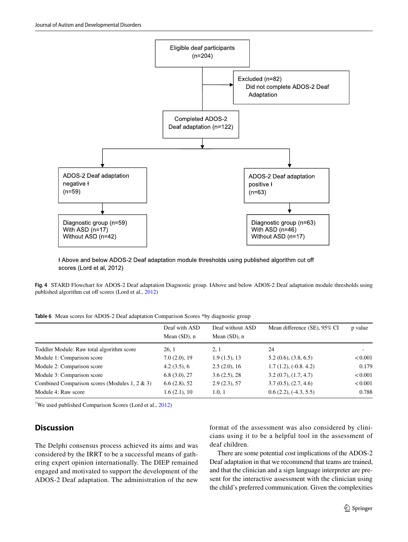

H Above and below ADOS-2 Deaf adaptation module thresholds using published algorithm cut off scores (Lord et al, 2012)

<span id="page-11-0"></span>**Fig. 4** STARD Flowchart for ADOS-2 Deaf adaptation Diagnostic group. HAbove and below ADOS-2 Deaf adaptation module thresholds using published algorithm cut off scores (Lord et al., [2012](#page-15-10))

<span id="page-11-1"></span>

|  | Table 6 Mean scores for ADOS-2 Deaf adaptation Comparison Scores *by diagnostic group |  |  |  |  |  |  |  |  |
|--|---------------------------------------------------------------------------------------|--|--|--|--|--|--|--|--|
|--|---------------------------------------------------------------------------------------|--|--|--|--|--|--|--|--|

|                                                  | Deaf with ASD<br>Mean $(SD)$ , n | Deaf without ASD<br>Mean $(SD)$ , n | Mean difference (SE), 95% CI | p value |
|--------------------------------------------------|----------------------------------|-------------------------------------|------------------------------|---------|
| Toddler Module: Raw total algorithm score        | 26.1                             | 2.1                                 | 24                           |         |
| Module 1: Comparison score                       | 7.0(2.0), 19                     | $1.9(1.5)$ , 13                     | 5.2(0.6), (3.8, 6.5)         | < 0.001 |
| Module 2: Comparison score                       | 4.2(3.5), 6                      | 2.5(2.0), 16                        | $1.7(1.2), (-0.8, 4.2)$      | 0.179   |
| Module 3: Comparison score                       | 6.8(3.0), 27                     | 3.6(2.5), 28                        | 3.2(0.7), (1.7, 4.7)         | < 0.001 |
| Combined Comparison scores (Modules 1, 2 $\&$ 3) | 6.6(2.8), 52                     | 2.9(2.3), 57                        | 3.7(0.5), (2.7, 4.6)         | < 0.001 |
| Module 4: Raw score                              | 1.6(2.1), 10                     | 1.0, 1                              | $0.6(2.2), (-4.3, 5.5)$      | 0.788   |

\* We used published Comparison Scores (Lord et al., [2012](#page-15-10))

# **Discussion**

The Delphi consensus process achieved its aims and was considered by the IRRT to be a successful means of gathering expert opinion internationally. The DIEP remained engaged and motivated to support the development of the ADOS-2 Deaf adaptation. The administration of the new format of the assessment was also considered by clinicians using it to be a helpful tool in the assessment of deaf children.

There are some potential cost implications of the ADOS-2 Deaf adaptation in that we recommend that teams are trained, and that the clinician and a sign language interpreter are present for the interactive assessment with the clinician using the child's preferred communication. Given the complexities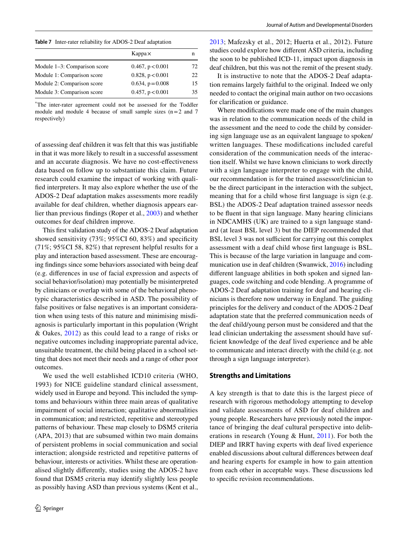<span id="page-12-0"></span>**Table 7** Inter-rater reliability for ADOS-2 Deaf adaptation

|                                 | $Kappa \times$        | n  |
|---------------------------------|-----------------------|----|
| Module $1-3$ : Comparison score | $0.467$ , $p < 0.001$ | 72 |
| Module 1: Comparison score      | 0.828, p < 0.001      | 22 |
| Module 2: Comparison score      | $0.634, p = 0.008$    | 15 |
| Module 3: Comparison score      | 0.457, p < 0.001      | 35 |

\* The inter-rater agreement could not be assessed for the Toddler module and module 4 because of small sample sizes  $(n=2$  and 7 respectively)

of assessing deaf children it was felt that this was justifiable in that it was more likely to result in a successful assessment and an accurate diagnosis. We have no cost-effectiveness data based on follow up to substantiate this claim. Future research could examine the impact of working with qualified interpreters. It may also explore whether the use of the ADOS-2 Deaf adaptation makes assessments more readily available for deaf children, whether diagnosis appears earlier than previous findings (Roper et al., [2003\)](#page-15-8) and whether outcomes for deaf children improve.

This first validation study of the ADOS-2 Deaf adaptation showed sensitivity (73%; 95%CI 60, 83%) and specificity (71%; 95%CI 58, 82%) that represent helpful results for a play and interaction based assessment. These are encouraging findings since some behaviors associated with being deaf (e.g. differences in use of facial expression and aspects of social behavior/isolation) may potentially be misinterpreted by clinicians or overlap with some of the behavioral phenotypic characteristics described in ASD. The possibility of false positives or false negatives is an important consideration when using tests of this nature and minimising misdiagnosis is particularly important in this population (Wright & Oakes, [2012\)](#page-15-7) as this could lead to a range of risks or negative outcomes including inappropriate parental advice, unsuitable treatment, the child being placed in a school setting that does not meet their needs and a range of other poor outcomes.

We used the well established ICD10 criteria (WHO, 1993) for NICE guideline standard clinical assessment, widely used in Europe and beyond. This included the symptoms and behaviours within three main areas of qualitative impairment of social interaction; qualitative abnormalities in communication; and restricted, repetitive and stereotyped patterns of behaviour. These map closely to DSM5 criteria (APA, 2013) that are subsumed within two main domains of persistent problems in social communication and social interaction; alongside restricted and repetitive patterns of behaviour, interests or activities. Whilst these are operationalised slightly differently, studies using the ADOS-2 have found that DSM5 criteria may identify slightly less people as possibly having ASD than previous systems (Kent et al.,

[2013;](#page-15-27) Mafezsky et al., 2012; Huerta et al., 2012). Future studies could explore how different ASD criteria, including the soon to be published ICD-11, impact upon diagnosis in deaf children, but this was not the remit of the present study.

It is instructive to note that the ADOS-2 Deaf adaptation remains largely faithful to the original. Indeed we only needed to contact the original main author on two occasions for clarification or guidance.

Where modifications were made one of the main changes was in relation to the communication needs of the child in the assessment and the need to code the child by considering sign language use as an equivalent language to spoken/ written languages. These modifications included careful consideration of the communication needs of the interaction itself. Whilst we have known clinicians to work directly with a sign language interpreter to engage with the child, our recommendation is for the trained assessor/clinician to be the direct participant in the interaction with the subject, meaning that for a child whose first language is sign (e.g. BSL) the ADOS-2 Deaf adaptation trained assessor needs to be fluent in that sign language. Many hearing clinicians in NDCAMHS (UK) are trained to a sign language standard (at least BSL level 3) but the DIEP recommended that BSL level 3 was not sufficient for carrying out this complex assessment with a deaf child whose first language is BSL. This is because of the large variation in language and communication use in deaf children (Swanwick, [2016](#page-15-21)) including different language abilities in both spoken and signed languages, code switching and code blending. A programme of ADOS-2 Deaf adaptation training for deaf and hearing clinicians is therefore now underway in England. The guiding principles for the delivery and conduct of the ADOS-2 Deaf adaptation state that the preferred communication needs of the deaf child/young person must be considered and that the lead clinician undertaking the assessment should have sufficient knowledge of the deaf lived experience and be able to communicate and interact directly with the child (e.g. not through a sign language interpreter).

## **Strengths and Limitations**

A key strength is that to date this is the largest piece of research with rigorous methodology attempting to develop and validate assessments of ASD for deaf children and young people. Researchers have previously noted the importance of bringing the deaf cultural perspective into deliberations in research (Young & Hunt, [2011](#page-16-2)). For both the DIEP and IRRT having experts with deaf lived experience enabled discussions about cultural differences between deaf and hearing experts for example in how to gain attention from each other in acceptable ways. These discussions led to specific revision recommendations.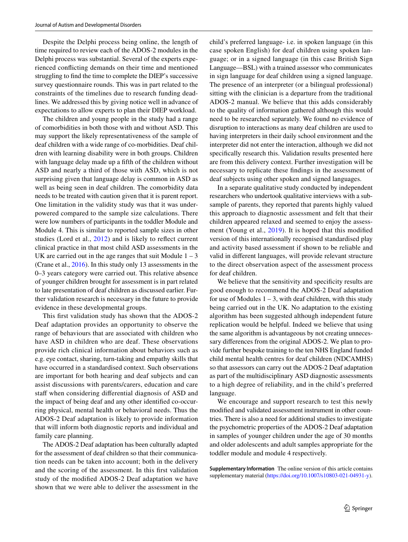Despite the Delphi process being online, the length of time required to review each of the ADOS-2 modules in the Delphi process was substantial. Several of the experts experienced conflicting demands on their time and mentioned struggling to find the time to complete the DIEP's successive survey questionnaire rounds. This was in part related to the constraints of the timelines due to research funding deadlines. We addressed this by giving notice well in advance of expectations to allow experts to plan their DIEP workload.

The children and young people in the study had a range of comorbidities in both those with and without ASD. This may support the likely representativeness of the sample of deaf children with a wide range of co-morbidities. Deaf children with learning disability were in both groups. Children with language delay made up a fifth of the children without ASD and nearly a third of those with ASD, which is not surprising given that language delay is common in ASD as well as being seen in deaf children. The comorbidity data needs to be treated with caution given that it is parent report. One limitation in the validity study was that it was underpowered compared to the sample size calculations. There were low numbers of participants in the toddler Module and Module 4. This is similar to reported sample sizes in other studies (Lord et al., [2012](#page-15-10)) and is likely to reflect current clinical practice in that most child ASD assessments in the UK are carried out in the age ranges that suit Module  $1 - 3$ (Crane et al., [2016](#page-14-13)). In this study only 13 assessments in the 0–3 years category were carried out. This relative absence of younger children brought for assessment is in part related to late presentation of deaf children as discussed earlier. Further validation research is necessary in the future to provide evidence in these developmental groups.

This first validation study has shown that the ADOS-2 Deaf adaptation provides an opportunity to observe the range of behaviours that are associated with children who have ASD in children who are deaf. These observations provide rich clinical information about behaviors such as e.g. eye contact, sharing, turn-taking and empathy skills that have occurred in a standardised context. Such observations are important for both hearing and deaf subjects and can assist discussions with parents/carers, education and care staff when considering differential diagnosis of ASD and the impact of being deaf and any other identified co-occurring physical, mental health or behavioral needs. Thus the ADOS-2 Deaf adaptation is likely to provide information that will inform both diagnostic reports and individual and family care planning.

The ADOS-2 Deaf adaptation has been culturally adapted for the assessment of deaf children so that their communication needs can be taken into account; both in the delivery and the scoring of the assessment. In this first validation study of the modified ADOS-2 Deaf adaptation we have shown that we were able to deliver the assessment in the

child's preferred language- i.e. in spoken language (in this case spoken English) for deaf children using spoken language; or in a signed language (in this case British Sign Language—BSL) with a trained assessor who communicates in sign language for deaf children using a signed language. The presence of an interpreter (or a bilingual professional) sitting with the clinician is a departure from the traditional ADOS-2 manual. We believe that this adds considerably to the quality of information gathered although this would need to be researched separately. We found no evidence of disruption to interactions as many deaf children are used to having interpreters in their daily school environment and the interpreter did not enter the interaction, although we did not specifically research this. Validation results presented here are from this delivery context. Further investigation will be necessary to replicate these findings in the assessment of deaf subjects using other spoken and signed languages.

In a separate qualitative study conducted by independent researchers who undertook qualitative interviews with a subsample of parents, they reported that parents highly valued this approach to diagnostic assessment and felt that their children appeared relaxed and seemed to enjoy the assessment (Young et al., [2019](#page-16-0)). It is hoped that this modified version of this internationally recognised standardised play and activity based assessment if shown to be reliable and valid in different languages, will provide relevant structure to the direct observation aspect of the assessment process for deaf children.

We believe that the sensitivity and specificity results are good enough to recommend the ADOS-2 Deaf adaptation for use of Modules  $1 - 3$ , with deaf children, with this study being carried out in the UK. No adaptation to the existing algorithm has been suggested although independent future replication would be helpful. Indeed we believe that using the same algorithm is advantageous by not creating unnecessary differences from the original ADOS-2. We plan to provide further bespoke training to the ten NHS England funded child mental health centres for deaf children (NDCAMHS) so that assessors can carry out the ADOS-2 Deaf adaptation as part of the multidisciplinary ASD diagnostic assessments to a high degree of reliability, and in the child's preferred language.

We encourage and support research to test this newly modified and validated assessment instrument in other countries. There is also a need for additional studies to investigate the psychometric properties of the ADOS-2 Deaf adaptation in samples of younger children under the age of 30 months and older adolescents and adult samples appropriate for the toddler module and module 4 respectively.

**Supplementary Information** The online version of this article contains supplementary material (https://doi.org/10.1007/s10803-021-04931-y).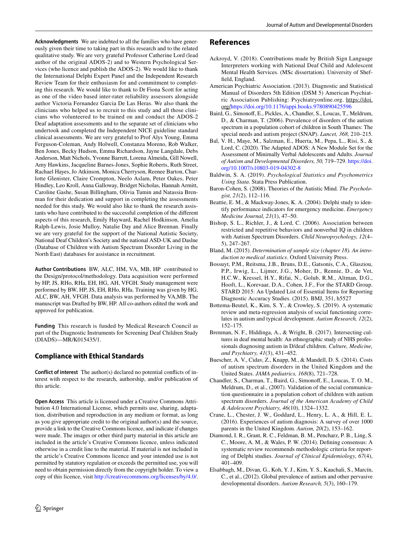**Acknowledgments** We are indebted to all the families who have generously given their time to taking part in this research and to the related qualitative study. We are very grateful Professor Catherine Lord (lead author of the original ADOS-2) and to Western Psychological Services (who licence and publish the ADOS-2). We would like to thank the International Delphi Expert Panel and the Independent Research Review Team for their enthusiasm for and commitment to completing this research. We would like to thank to Dr Fiona Scott for acting as one of the video based inter-rater reliability assessors alongside author Victoria Fernandez Garcia De Las Heras. We also thank the clinicians who helped us to recruit to this study and all those clinicians who volunteered to be trained on and conduct the ADOS-2 Deaf adaptation assessments and to the separate set of clinicians who undertook and completed the Independent NICE guideline standard clinical assessments. We are very grateful to Prof Alys Young, Emma Ferguson-Coleman, Andy Holwell, Constanza Moreno, Rob Walker, Ben Jones, Becky Hudson, Emma Richardson, Jayne Langdale, Debs Anderson, Matt Nichols, Yvonne Barrett, Lorena Almeida, Gill Nowell, Amy Hawkins, Jacqueline Barnes-Jones, Sophie Roberts, Ruth Street, Rachael Hayes, Jo Atkinson, Monica Cherryson, Reenee Barton, Charlotte Glenister, Claire Crompton, Neelo Aslam, Peter Oakes, Peter Hindley, Leo Kroll, Anna Galloway, Bridget Nicholas, Hannah Armitt, Caroline Gashe, Susan Billingham, Olivia Tumin and Natassia Brenman for their dedication and support in completing the assessments needed for this study. We would also like to thank the research assistants who have contributed to the successful completion of the different aspects of this research, Emily Hayward, Rachel Hodkinson, Amelia Ralph-Lewis, Josie Mulloy, Natalie Day and Alice Brennan. Finally we are very grateful for the support of the National Autistic Society, National Deaf Children's Society and the national ASD-UK and Daslne (Database of Children with Autism Spectrum Disorder Living in the North East) databases for assistance in recruitment.

**Author Contributions** BW, ALC, HM, VA, MB, HP contributed to the Design/protocol/methodology. Data acquisition were performed by HP, JS, RHo, RHa, EH, HG, AH, VFGH. Study management were performed by BW, HP, JS, EH, RHo, RHa. Training was given by HG, ALC, BW, AH, VFGH. Data analysis was performed by VA,MB. The manuscript was Drafted by BW, HP. All co-authors edited the work and approved for publication.

**Funding** This research is funded by Medical Research Council as part of the Diagnostic Instruments for Screening Deaf Children Study (DIADS)—MR/K015435/1.

# **Compliance with Ethical Standards**

**Conflict of interest** The author(s) declared no potential conflicts of interest with respect to the research, authorship, and/or publication of this article.

**Open Access** This article is licensed under a Creative Commons Attribution 4.0 International License, which permits use, sharing, adaptation, distribution and reproduction in any medium or format, as long as you give appropriate credit to the original author(s) and the source, provide a link to the Creative Commons licence, and indicate if changes were made. The images or other third party material in this article are included in the article's Creative Commons licence, unless indicated otherwise in a credit line to the material. If material is not included in the article's Creative Commons licence and your intended use is not permitted by statutory regulation or exceeds the permitted use, you will need to obtain permission directly from the copyright holder. To view a copy of this licence, visit http://creativecommons.org/licenses/by/4.0/.

# **References**

- <span id="page-14-12"></span>Ackroyd, V. (2018). Contributions made by British Sign Language Interpreters working with National Deaf Child and Adolescent Mental Health Services. (MSc dissertation). University of Sheffield, England.
- American Psychiatric Association. (2013). Diagnostic and Statistical Manual of Disorders 5th Edition (DSM 5) American Psychiatric Association Publishing: Psychiatryonline.org. https://doi. org/[https:// doi. org/ 10. 1176/ appi. books. 97808 90425 596](https://doi.org/10.1176/appi.books.9780890425596)
- <span id="page-14-1"></span>Baird, G., Simonoff, E., Pickles, A., Chandler, S., Loucas, T., Meldrum, D., & Charman, T. (2006). Prevalence of disorders of the autism spectrum in a population cohort of children in South Thames: The special needs and autism project (SNAP). *Lancet, 368,* 210–215.
- <span id="page-14-7"></span>Bal, V. H., Maye, M., Salzman, E., Huerta, M., Pepa, L., Risi, S., & Lord, C. (2020). The Adapted ADOS: A New Module Set for the Assessment of Minimally Verbal Adolescents and Adults. *Journal of Autism and Developmental Disorders, 50,* 719–729. [https:// doi.](https://doi.org/10.1007/s10803-019-04302-8) org/10.1007/s10803-019-04302-8
- <span id="page-14-10"></span>Baldwin, S. A. (2019). *Psychological Statistics and Psychometrics Using Stata*. Stata Press Publication.
- <span id="page-14-3"></span>Baron-Cohen, S. (2008). Theories of the Autistic Mind. *The Psychologist, 21*(2), 112–116.
- Beattie, E. M., & Mackway-Jones, K. A. (2004). Delphi study to identify performance indicators for emergency medicine. *Emergency Medicine Journal, 21*(1), 47–50.
- <span id="page-14-4"></span>Bishop, S. L., Richler, J., & Lord, C. (2006). Association between restricted and repetitive behaviors and nonverbal IQ in children with Autism Spectrum Disorders. *Child Neuropsychology, 12*(4– 5), 247–267.
- <span id="page-14-11"></span>Bland, M. (2015). *Determination of sample size (chapter 18). An introduction to medical statistics*. Oxford University Press.
- Bossuyt, P.M., Reitsma, J.B., Bruns, D.E., Gatsonis, C.A., Glasziou, P.P., Irwig, L., Lijmer, J.G., Moher, D., Rennie, D., de Vet, H.C.W., Kressel, H.Y., Rifai, N., Golub, R.M., Altman, D.G., Hooft, L., Korevaar, D.A., Cohen, J.F., For the STARD Group. STARD 2015: An Updated List of Essential Items for Reporting Diagnostic Accuracy Studies. (2015). BMJ, 351, h5527
- <span id="page-14-5"></span>Bottema-Beutel, K., Kim, S. Y., & Crowley, S. (2019). A systematic review and meta-regression analysis of social functioning correlates in autism and typical development. *Autism Research, 12*(2), 152–175.
- <span id="page-14-6"></span>Brenman, N. F., Hiddinga, A., & Wright, B. (2017). Intersecting cultures in deaf mental health: An ethnographic study of NHS professionals diagnosing autism in D/deaf children. *Culture, Medicine, and Psychiatry, 41*(3), 431–452.
- <span id="page-14-2"></span>Buescher, A. V., Cidav, Z., Knapp, M., & Mandell, D. S. (2014). Costs of autism spectrum disorders in the United Kingdom and the United States. *JAMA pediatrics, 168*(8), 721–728.
- <span id="page-14-9"></span>Chandler, S., Charman, T., Baird, G., Simonoff, E., Loucas, T. O. M., Meldrum, D., et al., (2007). Validation of the social communication questionnaire in a population cohort of children with autism spectrum disorders. *Journal of the American Academy of Child & Adolescent Psychiatry, 46*(10), 1324–1332.
- <span id="page-14-13"></span>Crane, L., Chester, J. W., Goddard, L., Henry, L. A., & Hill, E. L. (2016). Experiences of autism diagnosis: A survey of over 1000 parents in the United Kingdom. *Autism, 20*(2), 153–162.
- <span id="page-14-8"></span>Diamond, I. R., Grant, R. C., Feldman, B. M., Pencharz, P. B., Ling, S. C., Moore, A. M., & Wales, P. W. (2014). Defining consensus: A systematic review recommends methodologic criteria for reporting of Delphi studies. *Journal of Clinical Epidemiology, 67*(4), 401–409.
- <span id="page-14-0"></span>Elsabbagh, M., Divan, G., Koh, Y. J., Kim, Y. S., Kauchali, S., Marcín, C., et al., (2012). Global prevalence of autism and other pervasive developmental disorders. *Autism Research, 5*(3), 160–179.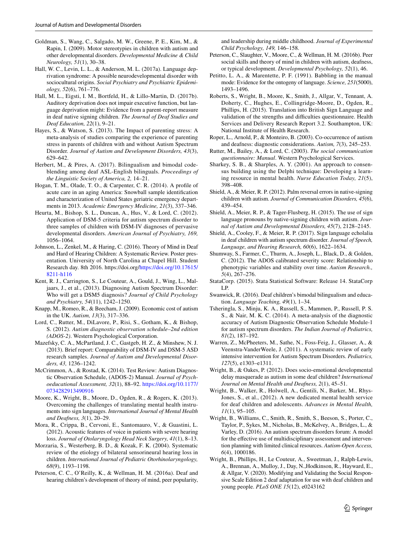- <span id="page-15-2"></span>Goldman, S., Wang, C., Salgado, M. W., Greene, P. E., Kim, M., & Rapin, I. (2009). Motor stereotypies in children with autism and other developmental disorders. *Developmental Medicine & Child Neurology, 51*(1), 30–38.
- <span id="page-15-3"></span>Hall, W. C., Levin, L. L., & Anderson, M. L. (2017a). Language deprivation syndrome: A possible neurodevelopmental disorder with sociocultural origins. *Social Psychiatry and Psychiatric Epidemiology, 52*(6), 761–776.
- Hall, M. L., Eigsti, I. M., Bortfeld, H., & Lillo-Martin, D. (2017b). Auditory deprivation does not impair executive function, but language deprivation might: Evidence from a parent-report measure in deaf native signing children. *The Journal of Deaf Studies and Deaf Education, 22*(1), 9–21.
- <span id="page-15-1"></span>Hayes, S., & Watson, S. (2013). The Impact of parenting stress: A meta-analysis of studies comparing the experience of parenting stress in parents of children with and without Autism Spectrum Disorder. *Journal of Autism and Development Disorders, 43*(3), 629–642.
- <span id="page-15-20"></span>Herbert, M., & Pires, A. (2017). Bilingualism and bimodal codeblending among deaf ASL-English bilinguals. *Proceedings of the Linguistic Society of America, 2,* 14–21.
- <span id="page-15-12"></span>Hogan, T. M., Olade, T. O., & Carpenter, C. R. (2014). A profile of acute care in an aging America: Snowball sample identification and characterization of United States geriatric emergency departments in 2013. *Academic Emergency Medicine, 21*(3), 337–346.
- Heurta, M., Bishop, S. L., Duncan, A., Hus, V., & Lord, C. (2012). Application of DSM-5 criteria for autism spectrum disorder to three samples of children with DSM-IV diagnoses of pervasive developmental disorders. *American Journal of Psychiatry, 169,* 1056–1064.
- <span id="page-15-4"></span>Johnson, L., Zenkel, M., & Haring, C. (2016). Theory of Mind in Deaf and Hard of Hearing Children: A Systematic Review. Poster presentation. University of North Carolina at Chapel Hill. Student Research day. 8th 2016. https://doi.org/https://doi.org/10.17615/ 8211-h116
- <span id="page-15-27"></span>Kent, R. J., Carrington, S., Le Couteur, A., Gould, J., Wing, L., Maljaars, J., et al., (2013). Diagnosing Autism Spectrum Disorder: Who will get a DSM5 diagnosis? *Journal of Child Psychology and Psychiatry, 54*(11), 1242–1250.
- <span id="page-15-0"></span>Knapp, M., Romeo, R., & Beecham, J. (2009). Economic cost of autism in the UK. *Autism, 13*(3), 317–336.
- <span id="page-15-10"></span>Lord, C., Rutter, M., DiLavore, P., Risi, S., Gotham, K., & Bishop, S. (2012). *Autism diagnostic observation schedule–2nd edition (ADOS-2)*. Western Psychological Corporation.
- Mazefsky, C. A., McPartland, J. C., Gastgeb, H. Z., & Minshew, N. J. (2013). Brief report: Comparability of DSM-IV and DSM-5 ASD research samples. *Journal of Autism and Developmental Disorders, 43,* 1236–1242.
- McCrimmon, A., & Rostad, K. (2014). Test Review: Autism Diagnostic Observation Schedule, (ADOS-2) Manual. *Journal of Psychoeducational Assessment, 32*(1), 88–92. [https:// doi. org/ 10. 1177/](https://doi.org/10.1177/0734282913490916) 0734282913490916
- <span id="page-15-13"></span>Moore, K., Wright, B., Moore, D., Ogden, R., & Rogers, K. (2013). Overcoming the challenges of translating mental health instruments into sign languages. *International Journal of Mental Health and Deafness, 3*(1), 20–29.
- <span id="page-15-24"></span>Mora, R., Crippa, B., Cervoni, E., Santomauro, V., & Guastini, L. (2012). Acoustic features of voice in patients with severe hearing loss. *Journal of Otolaryngology Head Neck Surgery, 41*(1), 8–13.
- Morzaria, S., Westerberg, B. D., & Kozak, F. K. (2004). Systematic review of the etiology of bilateral sensorineural hearing loss in children. *International Journal of Pediatric Otorhinolaryngology, 68*(9), 1193–1198.
- <span id="page-15-5"></span>Peterson, C. C., O'Reilly, K., & Wellman, H. M. (2016a). Deaf and hearing children's development of theory of mind, peer popularity,

and leadership during middle childhood. *Journal of Experimental Child Psychology, 149,* 146–158.

- <span id="page-15-6"></span>Peterson, C., Slaughter, V., Moore, C., & Wellman, H. M. (2016b). Peer social skills and theory of mind in children with autism, deafness, or typical development. *Developmental Psychology, 52*(1), 46.
- <span id="page-15-23"></span>Petitto, L. A., & Marentette, P. F. (1991). Babbling in the manual mode: Evidence for the ontogeny of language. *Science, 251*(5000), 1493–1496.
- <span id="page-15-14"></span>Roberts, S., Wright, B., Moore, K., Smith, J., Allgar, V., Tennant, A. Doherty, C., Hughes, E., Collingridge-Moore, D., Ogden, R., Phillips, H. (2015). Translation into British Sign Language and validation of the strengths and difficulties questionnaire. Health Services and Delivery Research Report 3.2. Southampton, UK: National Institute of Health Research.
- <span id="page-15-8"></span>Roper, L., Arnold, P., & Monteiro, B. (2003). Co-occurrence of autism and deafness: diagnostic considerations. *Autism, 7*(3), 245–253.
- Rutter, M., Bailey, A., & Lord, C. (2003). *The social communication questionnaire: Manual*. Western Psychological Services.
- <span id="page-15-11"></span>Sharkey, S. B., & Sharples, A. Y. (2001). An approach to consensus building using the Delphi technique: Developing a learning resource in mental health. *Nurse Education Today, 21*(5), 398–408.
- <span id="page-15-25"></span>Shield, A., & Meier, R. P. (2012). Palm reversal errors in native-signing children with autism. *Journal of Communication Disorders, 45*(6), 439–454.
- <span id="page-15-26"></span>Shield, A., Meier, R. P., & Tager-Flusberg, H. (2015). The use of sign language pronouns by native-signing children with autism. *Journal of Autism and Developmental Disorders, 45*(7), 2128–2145.
- <span id="page-15-22"></span>Shield, A., Cooley, F., & Meier, R. P. (2017). Sign language echolalia in deaf children with autism spectrum disorder. *Journal of Speech, Language, and Hearing Research, 60*(6), 1622–1634.
- <span id="page-15-18"></span>Shumway, S., Farmer, C., Thurm, A., Joseph, L., Black, D., & Golden, C. (2012). The ADOS calibrated severity score: Relationship to phenotypic variables and stability over time. *Autism Research., 5*(4), 267–276.
- <span id="page-15-19"></span>StataCorp. (2015). Stata Statistical Software: Release 14. StataCorp LP.
- <span id="page-15-21"></span>Swanwick, R. (2016). Deaf children's bimodal bilingualism and education. *Language Teaching, 49*(1), 1–34.
- <span id="page-15-17"></span>Tsheringla, S., Minju, K. A., Russell, S., Mammen, P., Russell, P. S. S., & Nair, M. K. C. (2014). A meta-analysis of the diagnostic accuracy of Autism Diagnostic Observation Schedule Module-1 for autism spectrum disorders. *The Indian Journal of Pediatrics, 81*(2), 187–192.
- <span id="page-15-9"></span>Warren, Z., McPheeters, M., Sathe, N., Foss-Feig, J., Glasser, A., & Veenstra-VanderWeele, J. (2011). A systematic review of early intensive intervention for Autism Spectrum Disorders. *Pediatrics, 127*(5), e1303–e1311.
- <span id="page-15-7"></span>Wright, B., & Oakes, P. (2012). Does socio-emotional developmental delay masquerade as autism in some deaf children? *International Journal on Mental Health and Deafness, 2*(1), 45–51.
- <span id="page-15-15"></span>Wright, B., Walker, R., Holwell, A., Gentili, N., Barker, M., Rhys-Jones, S., et al., (2012). A new dedicated mental health service for deaf children and adolescents. *Advances in Mental Health, 11*(1), 95–105.
- <span id="page-15-16"></span>Wright, B., Williams, C., Smith, R., Smith, S., Beeson, S., Porter, C., Taylor, P., Sykes, M., Nicholas, B., McKelvey, A., Bridges, L., & Varley, D. (2016). An autism spectrum disorders forum: A model for the effective use of multidisciplinary assessment and intervention planning with limited clinical resources. *Autism-Open Access, 6*(4), 1000186.
- Wright, B., Phillips, H., Le Couteur, A., Sweetman, J., Ralph-Lewis, A., Brennan, A., Mulloy, J., Day, N.,Hodkinson, R., Hayward, E., & Allgar, V. (2020). Modifying and Validating the Social Responsive Scale Edition 2 deaf adaptation for use with deaf children and young people. *PLoS ONE 15*(12), e0243162